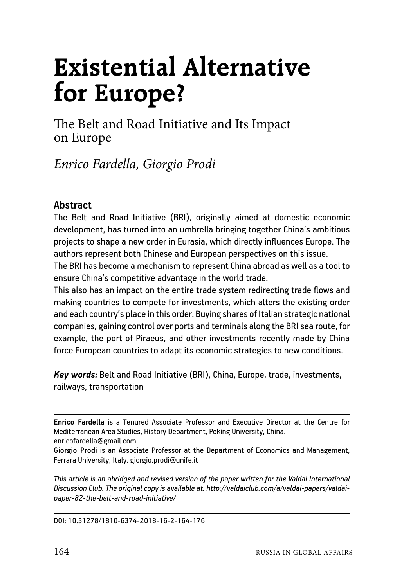# **Existential Alternative for Europe?**

The Belt and Road Initiative and Its Impact on Europe

*Enrico Fardella, Giorgio Prodi*

### **Abstract**

The Belt and Road Initiative (BRI), originally aimed at domestic economic development, has turned into an umbrella bringing together China's ambitious projects to shape a new order in Eurasia, which directly influences Europe. The authors represent both Chinese and European perspectives on this issue.

The BRI has become a mechanism to represent China abroad as well as a tool to ensure China's competitive advantage in the world trade.

This also has an impact on the entire trade system redirecting trade flows and making countries to compete for investments, which alters the existing order and each country's place in this order. Buying shares of Italian strategic national companies, gaining control over ports and terminals along the BRI sea route, for example, the port of Piraeus, and other investments recently made by China force European countries to adapt its economic strategies to new conditions.

*Key words:* Belt and Road Initiative (BRI), China, Europe, trade, investments, railways, transportation

**Enrico Fardella** is a Tenured Associate Professor and Executive Director at the Centre for Mediterranean Area Studies, History Department, Peking University, China. enricofardella@gmail.com

**Giorgio Prodi** is an Associate Professor at the Department of Economics and Management, Ferrara University, Italy. giorgio.prodi@unife.it

*This article is an abridged and revised version of the paper written for the Valdai International Discussion Club. The original copy is available at: http://valdaiclub.com/a/valdai-papers/valdaipaper-82-the-belt-and-road-initiative/*

DOI: 10.31278/1810-6374-2018-16-2-164-176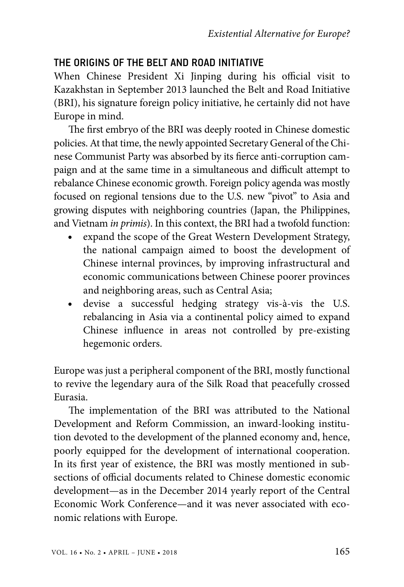## THE ORIGINS OF THE BELT AND ROAD INITIATIVE

When Chinese President Xi Jinping during his official visit to Kazakhstan in September 2013 launched the Belt and Road Initiative (BRI), his signature foreign policy initiative, he certainly did not have Europe in mind.

The first embryo of the BRI was deeply rooted in Chinese domestic policies. At that time, the newly appointed Secretary General of the Chinese Communist Party was absorbed by its fierce anti-corruption campaign and at the same time in a simultaneous and difficult attempt to rebalance Chinese economic growth. Foreign policy agenda was mostly focused on regional tensions due to the U.S. new "pivot" to Asia and growing disputes with neighboring countries (Japan, the Philippines, and Vietnam *in primis*). In this context, the BRI had a twofold function:

- expand the scope of the Great Western Development Strategy, the national campaign aimed to boost the development of Chinese internal provinces, by improving infrastructural and economic communications between Chinese poorer provinces and neighboring areas, such as Central Asia;
- devise a successful hedging strategy vis-à-vis the U.S. rebalancing in Asia via a continental policy aimed to expand Chinese influence in areas not controlled by pre-existing hegemonic orders.

Europe was just a peripheral component of the BRI, mostly functional to revive the legendary aura of the Silk Road that peacefully crossed Eurasia.

The implementation of the BRI was attributed to the National Development and Reform Commission, an inward-looking institution devoted to the development of the planned economy and, hence, poorly equipped for the development of international cooperation. In its first year of existence, the BRI was mostly mentioned in subsections of official documents related to Chinese domestic economic development—as in the December 2014 yearly report of the Central Economic Work Conference—and it was never associated with economic relations with Europe.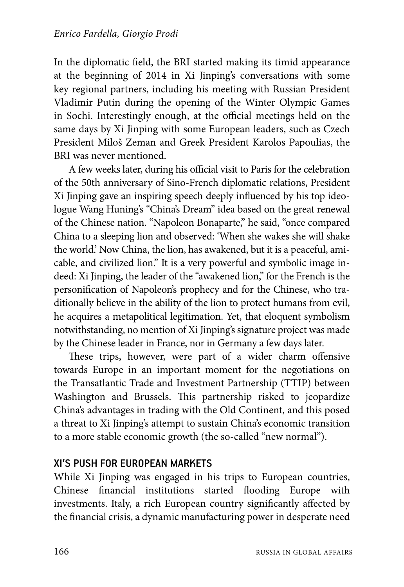In the diplomatic field, the BRI started making its timid appearance at the beginning of 2014 in Xi Jinping's conversations with some key regional partners, including his meeting with Russian President Vladimir Putin during the opening of the Winter Olympic Games in Sochi. Interestingly enough, at the official meetings held on the same days by Xi Jinping with some European leaders, such as Czech President Miloš Zeman and Greek President Karolos Papoulias, the BRI was never mentioned.

A few weeks later, during his official visit to Paris for the celebration of the 50th anniversary of Sino-French diplomatic relations, President Xi Jinping gave an inspiring speech deeply influenced by his top ideologue Wang Huning's "China's Dream" idea based on the great renewal of the Chinese nation. "Napoleon Bonaparte," he said, "once compared China to a sleeping lion and observed: 'When she wakes she will shake the world.' Now China, the lion, has awakened, but it is a peaceful, amicable, and civilized lion." It is a very powerful and symbolic image indeed: Xi Jinping, the leader of the "awakened lion," for the French is the personification of Napoleon's prophecy and for the Chinese, who traditionally believe in the ability of the lion to protect humans from evil, he acquires a metapolitical legitimation. Yet, that eloquent symbolism notwithstanding, no mention of Xi Jinping's signature project was made by the Chinese leader in France, nor in Germany a few days later.

These trips, however, were part of a wider charm offensive towards Europe in an important moment for the negotiations on the Transatlantic Trade and Investment Partnership (TTIP) between Washington and Brussels. This partnership risked to jeopardize China's advantages in trading with the Old Continent, and this posed a threat to Xi Jinping's attempt to sustain China's economic transition to a more stable economic growth (the so-called "new normal").

## XI'S PUSH FOR EUROPEAN MARKETS

While Xi Jinping was engaged in his trips to European countries, Chinese financial institutions started flooding Europe with investments. Italy, a rich European country significantly affected by the financial crisis, a dynamic manufacturing power in desperate need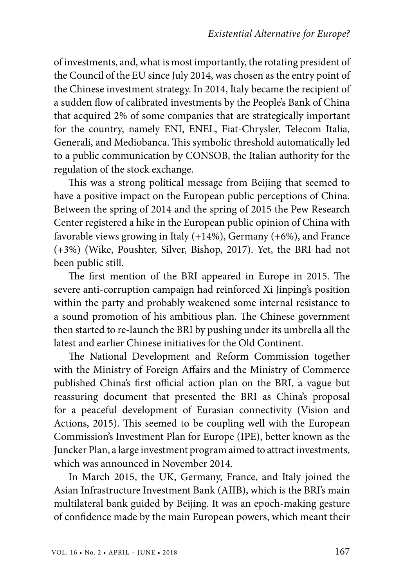of investments, and, what is most importantly, the rotating president of the Council of the EU since July 2014, was chosen as the entry point of the Chinese investment strategy. In 2014, Italy became the recipient of a sudden flow of calibrated investments by the People's Bank of China that acquired 2% of some companies that are strategically important for the country, namely ENI, ENEL, Fiat-Chrysler, Telecom Italia, Generali, and Mediobanca. This symbolic threshold automatically led to a public communication by CONSOB, the Italian authority for the regulation of the stock exchange.

This was a strong political message from Beijing that seemed to have a positive impact on the European public perceptions of China. Between the spring of 2014 and the spring of 2015 the Pew Research Center registered a hike in the European public opinion of China with favorable views growing in Italy (+14%), Germany (+6%), and France (+3%) (Wike, Poushter, Silver, Bishop, 2017). Yet, the BRI had not been public still.

The first mention of the BRI appeared in Europe in 2015. The severe anti-corruption campaign had reinforced Xi Jinping's position within the party and probably weakened some internal resistance to a sound promotion of his ambitious plan. The Chinese government then started to re-launch the BRI by pushing under its umbrella all the latest and earlier Chinese initiatives for the Old Continent.

The National Development and Reform Commission together with the Ministry of Foreign Affairs and the Ministry of Commerce published China's first official action plan on the BRI, a vague but reassuring document that presented the BRI as China's proposal for a peaceful development of Eurasian connectivity (Vision and Actions, 2015). This seemed to be coupling well with the European Commission's Investment Plan for Europe (IPE), better known as the Juncker Plan, a large investment program aimed to attract investments, which was announced in November 2014.

In March 2015, the UK, Germany, France, and Italy joined the Asian Infrastructure Investment Bank (AIIB), which is the BRI's main multilateral bank guided by Beijing. It was an epoch-making gesture of confidence made by the main European powers, which meant their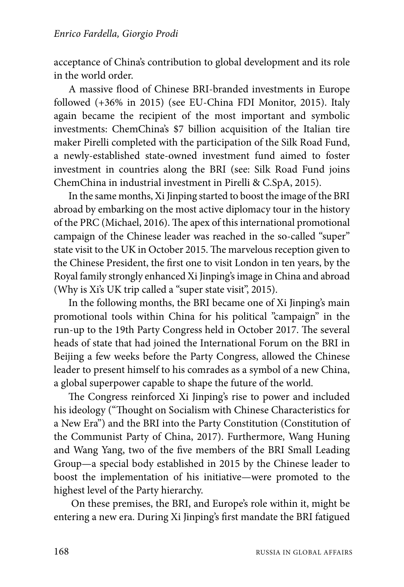acceptance of China's contribution to global development and its role in the world order.

A massive flood of Chinese BRI-branded investments in Europe followed (+36% in 2015) (see EU-China FDI Monitor, 2015). Italy again became the recipient of the most important and symbolic investments: ChemChina's \$7 billion acquisition of the Italian tire maker Pirelli completed with the participation of the Silk Road Fund, a newly-established state-owned investment fund aimed to foster investment in countries along the BRI (see: Silk Road Fund joins ChemChina in industrial investment in Pirelli & C.SpA, 2015).

In the same months, Xi Jinping started to boost the image of the BRI abroad by embarking on the most active diplomacy tour in the history of the PRC (Michael, 2016). The apex of this international promotional campaign of the Chinese leader was reached in the so-called "super" state visit to the UK in October 2015. The marvelous reception given to the Chinese President, the first one to visit London in ten years, by the Royal family strongly enhanced Xi Jinping's image in China and abroad (Why is Xi's UK trip called a "super state visit", 2015).

In the following months, the BRI became one of Xi Jinping's main promotional tools within China for his political "campaign" in the run-up to the 19th Party Congress held in October 2017. The several heads of state that had joined the International Forum on the BRI in Beijing a few weeks before the Party Congress, allowed the Chinese leader to present himself to his comrades as a symbol of a new China, a global superpower capable to shape the future of the world.

The Congress reinforced Xi Jinping's rise to power and included his ideology ("Thought on Socialism with Chinese Characteristics for a New Era") and the BRI into the Party Constitution (Constitution of the Communist Party of China, 2017). Furthermore, Wang Huning and Wang Yang, two of the five members of the BRI Small Leading Group—a special body established in 2015 by the Chinese leader to boost the implementation of his initiative—were promoted to the highest level of the Party hierarchy.

On these premises, the BRI, and Europe's role within it, might be entering a new era. During Xi Jinping's first mandate the BRI fatigued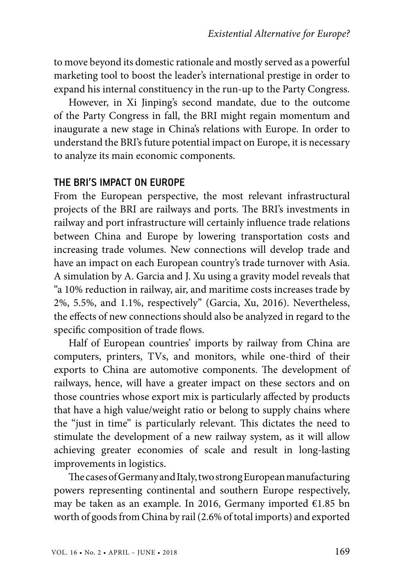to move beyond its domestic rationale and mostly served as a powerful marketing tool to boost the leader's international prestige in order to expand his internal constituency in the run-up to the Party Congress.

However, in Xi Jinping's second mandate, due to the outcome of the Party Congress in fall, the BRI might regain momentum and inaugurate a new stage in China's relations with Europe. In order to understand the BRI's future potential impact on Europe, it is necessary to analyze its main economic components.

#### THE BRI'S IMPACT ON EUROPE

From the European perspective, the most relevant infrastructural projects of the BRI are railways and ports. The BRI's investments in railway and port infrastructure will certainly influence trade relations between China and Europe by lowering transportation costs and increasing trade volumes. New connections will develop trade and have an impact on each European country's trade turnover with Asia. A simulation by A. Garcia and J. Xu using a gravity model reveals that "a 10% reduction in railway, air, and maritime costs increases trade by 2%, 5.5%, and 1.1%, respectively" (Garcia, Xu, 2016). Nevertheless, the effects of new connections should also be analyzed in regard to the specific composition of trade flows.

Half of European countries' imports by railway from China are computers, printers, TVs, and monitors, while one-third of their exports to China are automotive components. The development of railways, hence, will have a greater impact on these sectors and on those countries whose export mix is particularly affected by products that have a high value/weight ratio or belong to supply chains where the "just in time" is particularly relevant. This dictates the need to stimulate the development of a new railway system, as it will allow achieving greater economies of scale and result in long-lasting improvements in logistics.

The cases of Germany and Italy, two strong European manufacturing powers representing continental and southern Europe respectively, may be taken as an example. In 2016, Germany imported €1.85 bn worth of goods from China by rail (2.6% of total imports) and exported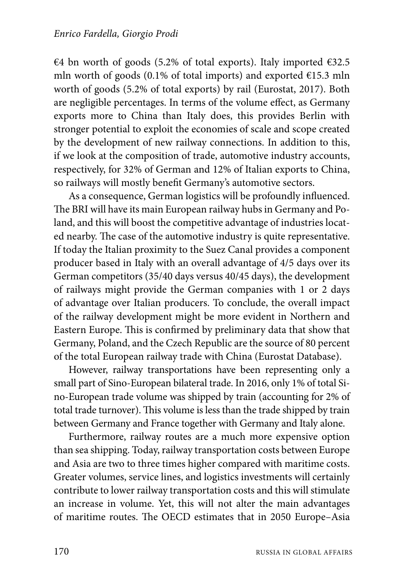€4 bn worth of goods (5.2% of total exports). Italy imported  $€32.5$ mln worth of goods (0.1% of total imports) and exported €15.3 mln worth of goods (5.2% of total exports) by rail (Eurostat, 2017). Both are negligible percentages. In terms of the volume effect, as Germany exports more to China than Italy does, this provides Berlin with stronger potential to exploit the economies of scale and scope created by the development of new railway connections. In addition to this, if we look at the composition of trade, automotive industry accounts, respectively, for 32% of German and 12% of Italian exports to China, so railways will mostly benefit Germany's automotive sectors.

As a consequence, German logistics will be profoundly influenced. The BRI will have its main European railway hubs in Germany and Poland, and this will boost the competitive advantage of industries located nearby. The case of the automotive industry is quite representative. If today the Italian proximity to the Suez Canal provides a component producer based in Italy with an overall advantage of 4/5 days over its German competitors (35/40 days versus 40/45 days), the development of railways might provide the German companies with 1 or 2 days of advantage over Italian producers. To conclude, the overall impact of the railway development might be more evident in Northern and Eastern Europe. This is confirmed by preliminary data that show that Germany, Poland, and the Czech Republic are the source of 80 percent of the total European railway trade with China (Eurostat Database).

However, railway transportations have been representing only a small part of Sino-European bilateral trade. In 2016, only 1% of total Sino-European trade volume was shipped by train (accounting for 2% of total trade turnover). This volume is less than the trade shipped by train between Germany and France together with Germany and Italy alone.

Furthermore, railway routes are a much more expensive option than sea shipping. Today, railway transportation costs between Europe and Asia are two to three times higher compared with maritime costs. Greater volumes, service lines, and logistics investments will certainly contribute to lower railway transportation costs and this will stimulate an increase in volume. Yet, this will not alter the main advantages of maritime routes. The OECD estimates that in 2050 Europe–Asia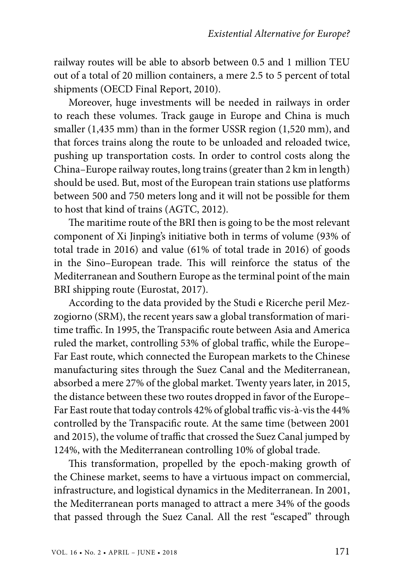railway routes will be able to absorb between 0.5 and 1 million TEU out of a total of 20 million containers, a mere 2.5 to 5 percent of total shipments (OECD Final Report, 2010).

Moreover, huge investments will be needed in railways in order to reach these volumes. Track gauge in Europe and China is much smaller (1,435 mm) than in the former USSR region (1,520 mm), and that forces trains along the route to be unloaded and reloaded twice, pushing up transportation costs. In order to control costs along the China–Europe railway routes, long trains (greater than 2 km in length) should be used. But, most of the European train stations use platforms between 500 and 750 meters long and it will not be possible for them to host that kind of trains (AGTC, 2012).

The maritime route of the BRI then is going to be the most relevant component of Xi Jinping's initiative both in terms of volume (93% of total trade in 2016) and value (61% of total trade in 2016) of goods in the Sino–European trade. This will reinforce the status of the Mediterranean and Southern Europe as the terminal point of the main BRI shipping route (Eurostat, 2017).

According to the data provided by the Studi e Ricerche peril Mezzogiorno (SRM), the recent years saw a global transformation of maritime traffic. In 1995, the Transpacific route between Asia and America ruled the market, controlling 53% of global traffic, while the Europe– Far East route, which connected the European markets to the Chinese manufacturing sites through the Suez Canal and the Mediterranean, absorbed a mere 27% of the global market. Twenty years later, in 2015, the distance between these two routes dropped in favor of the Europe– Far East route that today controls 42% of global traffic vis-à-vis the 44% controlled by the Transpacific route. At the same time (between 2001 and 2015), the volume of traffic that crossed the Suez Canal jumped by 124%, with the Mediterranean controlling 10% of global trade.

This transformation, propelled by the epoch-making growth of the Chinese market, seems to have a virtuous impact on commercial, infrastructure, and logistical dynamics in the Mediterranean. In 2001, the Mediterranean ports managed to attract a mere 34% of the goods that passed through the Suez Canal. All the rest "escaped" through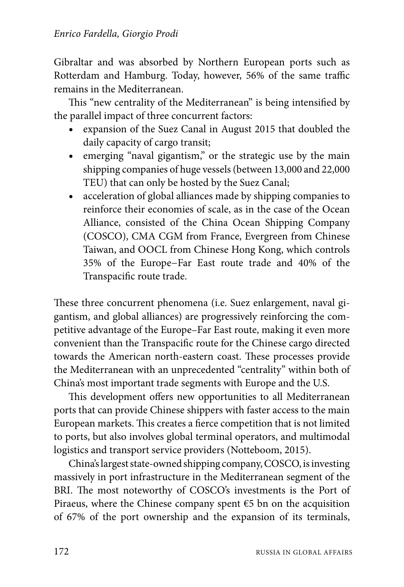Gibraltar and was absorbed by Northern European ports such as Rotterdam and Hamburg. Today, however, 56% of the same traffic remains in the Mediterranean.

This "new centrality of the Mediterranean" is being intensified by the parallel impact of three concurrent factors:

- expansion of the Suez Canal in August 2015 that doubled the daily capacity of cargo transit;
- emerging "naval gigantism," or the strategic use by the main shipping companies of huge vessels (between 13,000 and 22,000 TEU) that can only be hosted by the Suez Canal;
- acceleration of global alliances made by shipping companies to reinforce their economies of scale, as in the case of the Ocean Alliance, consisted of the China Ocean Shipping Company (COSCO), CMA CGM from France, Evergreen from Chinese Taiwan, and OOCL from Chinese Hong Kong, which controls 35% of the Europe−Far East route trade and 40% of the Transpacific route trade.

These three concurrent phenomena (i.e. Suez enlargement, naval gigantism, and global alliances) are progressively reinforcing the competitive advantage of the Europe–Far East route, making it even more convenient than the Transpacific route for the Chinese cargo directed towards the American north-eastern coast. These processes provide the Mediterranean with an unprecedented "centrality" within both of China's most important trade segments with Europe and the U.S.

This development offers new opportunities to all Mediterranean ports that can provide Chinese shippers with faster access to the main European markets. This creates a fierce competition that is not limited to ports, but also involves global terminal operators, and multimodal logistics and transport service providers (Notteboom, 2015).

China's largest state-owned shipping company, COSCO, is investing massively in port infrastructure in the Mediterranean segment of the BRI. The most noteworthy of COSCO's investments is the Port of Piraeus, where the Chinese company spent  $E$ 5 bn on the acquisition of 67% of the port ownership and the expansion of its terminals,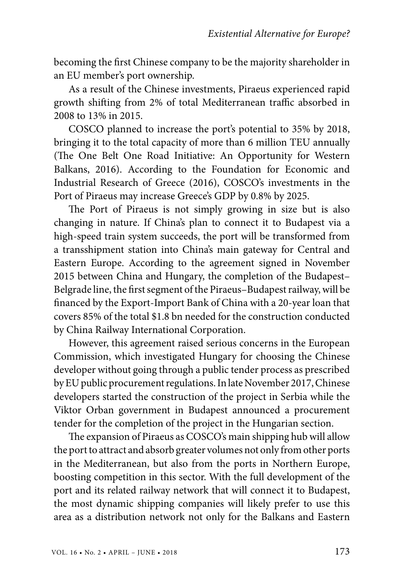becoming the first Chinese company to be the majority shareholder in an EU member's port ownership.

As a result of the Chinese investments, Piraeus experienced rapid growth shifting from 2% of total Mediterranean traffic absorbed in 2008 to 13% in 2015.

COSCO planned to increase the port's potential to 35% by 2018, bringing it to the total capacity of more than 6 million TEU annually (The One Belt One Road Initiative: An Opportunity for Western Balkans, 2016). According to the Foundation for Economic and Industrial Research of Greece (2016), COSCO's investments in the Port of Piraeus may increase Greece's GDP by 0.8% by 2025.

The Port of Piraeus is not simply growing in size but is also changing in nature. If China's plan to connect it to Budapest via a high-speed train system succeeds, the port will be transformed from a transshipment station into China's main gateway for Central and Eastern Europe. According to the agreement signed in November 2015 between China and Hungary, the completion of the Budapest– Belgrade line, the first segment of the Piraeus–Budapest railway, will be financed by the Export-Import Bank of China with a 20-year loan that covers 85% of the total \$1.8 bn needed for the construction conducted by China Railway International Corporation.

However, this agreement raised serious concerns in the European Commission, which investigated Hungary for choosing the Chinese developer without going through a public tender process as prescribed by EU public procurement regulations. In late November 2017, Chinese developers started the construction of the project in Serbia while the Viktor Orban government in Budapest announced a procurement tender for the completion of the project in the Hungarian section.

The expansion of Piraeus as COSCO's main shipping hub will allow the port to attract and absorb greater volumes not only from other ports in the Mediterranean, but also from the ports in Northern Europe, boosting competition in this sector. With the full development of the port and its related railway network that will connect it to Budapest, the most dynamic shipping companies will likely prefer to use this area as a distribution network not only for the Balkans and Eastern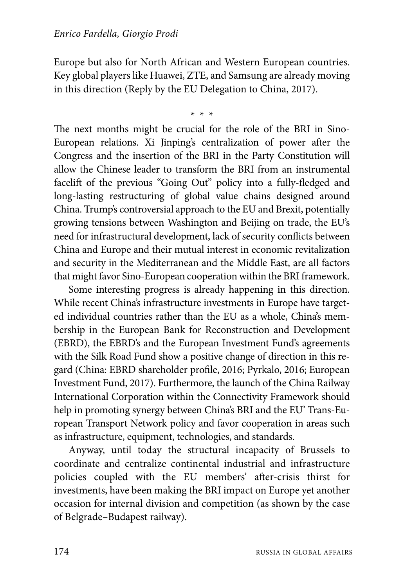Europe but also for North African and Western European countries. Key global players like Huawei, ZTE, and Samsung are already moving in this direction (Reply by the EU Delegation to China, 2017).

\* \* \*

The next months might be crucial for the role of the BRI in Sino-European relations. Xi Jinping's centralization of power after the Congress and the insertion of the BRI in the Party Constitution will allow the Chinese leader to transform the BRI from an instrumental facelift of the previous "Going Out" policy into a fully-fledged and long-lasting restructuring of global value chains designed around China. Trump's controversial approach to the EU and Brexit, potentially growing tensions between Washington and Beijing on trade, the EU's need for infrastructural development, lack of security conflicts between China and Europe and their mutual interest in economic revitalization and security in the Mediterranean and the Middle East, are all factors that might favor Sino-European cooperation within the BRI framework.

Some interesting progress is already happening in this direction. While recent China's infrastructure investments in Europe have targeted individual countries rather than the EU as a whole, China's membership in the European Bank for Reconstruction and Development (EBRD), the EBRD's and the European Investment Fund's agreements with the Silk Road Fund show a positive change of direction in this regard (China: EBRD shareholder profile, 2016; Pyrkalo, 2016; European Investment Fund, 2017). Furthermore, the launch of the China Railway International Corporation within the Connectivity Framework should help in promoting synergy between China's BRI and the EU' Trans-European Transport Network policy and favor cooperation in areas such as infrastructure, equipment, technologies, and standards.

Anyway, until today the structural incapacity of Brussels to coordinate and centralize continental industrial and infrastructure policies coupled with the EU members' after-crisis thirst for investments, have been making the BRI impact on Europe yet another occasion for internal division and competition (as shown by the case of Belgrade–Budapest railway).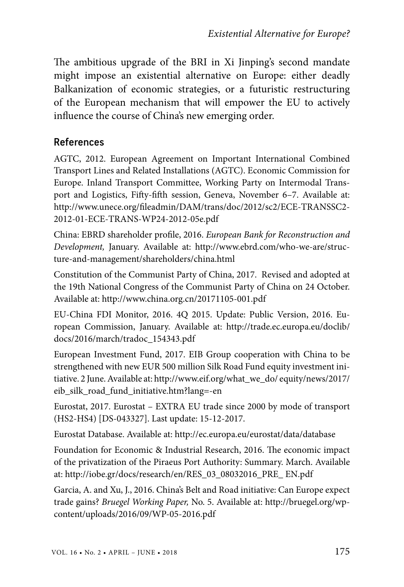The ambitious upgrade of the BRI in Xi Jinping's second mandate might impose an existential alternative on Europe: either deadly Balkanization of economic strategies, or a futuristic restructuring of the European mechanism that will empower the EU to actively influence the course of China's new emerging order.

#### References

AGTC, 2012. European Agreement on Important International Combined Transport Lines and Related Installations (AGTC). Economic Commission for Europe. Inland Transport Committee, Working Party on Intermodal Transport and Logistics, Fifty-fifth session, Geneva, November 6–7. Available at: http://www.unece.org/fileadmin/DAM/trans/doc/2012/sc2/ECE-TRANSSC2- 2012-01-ECE-TRANS-WP24-2012-05e.pdf

China: EBRD shareholder profile, 2016. *European Bank for Reconstruction and Development,* January. Available at: http://www.ebrd.com/who-we-are/structure-and-management/shareholders/china.html

Constitution of the Communist Party of China, 2017. Revised and adopted at the 19th National Congress of the Communist Party of China on 24 October. Available at: http://www.china.org.cn/20171105-001.pdf

EU-China FDI Monitor, 2016. 4Q 2015. Update: Public Version, 2016. European Commission, January. Available at: http://trade.ec.europa.eu/doclib/ docs/2016/march/tradoc\_154343.pdf

European Investment Fund, 2017. EIB Group cooperation with China to be strengthened with new EUR 500 million Silk Road Fund equity investment initiative. 2 June. Available at: http://www.eif.org/what\_we\_do/ equity/news/2017/ eib\_silk\_road\_fund\_initiative.htm?lang=-en

Eurostat, 2017. Eurostat – EXTRA EU trade since 2000 by mode of transport (HS2-HS4) [DS-043327]. Last update: 15-12-2017.

Eurostat Database. Available at: http://ec.europa.eu/eurostat/data/database

Foundation for Economic & Industrial Research, 2016. The economic impact of the privatization of the Piraeus Port Authority: Summary. March. Available at: http://iobe.gr/docs/research/en/RES\_03\_08032016\_PRE\_ EN.pdf

Garcia, A. and Xu, J., 2016. China's Belt and Road initiative: Can Europe expect trade gains? *Bruegel Working Paper,* No. 5. Available at: http://bruegel.org/wpcontent/uploads/2016/09/WP-05-2016.pdf